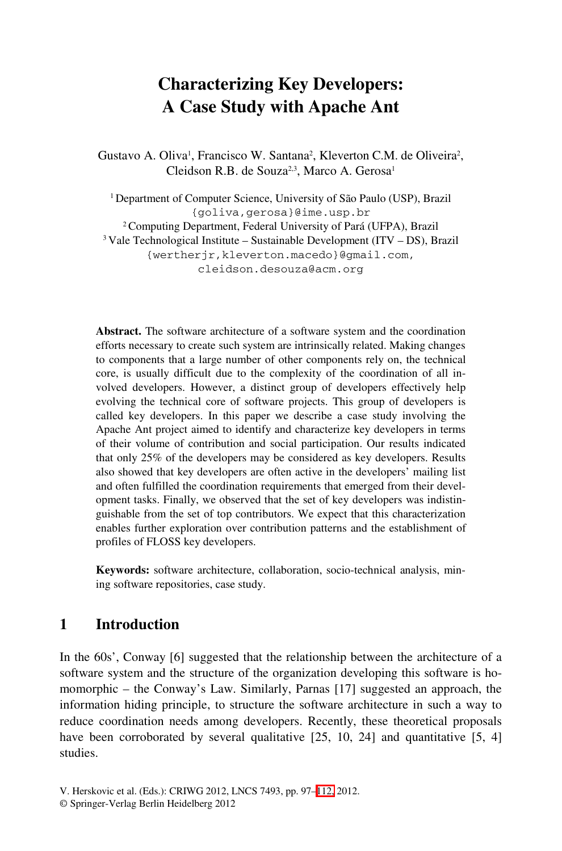# **Characterizing Key Developers: A Case Study with Apache Ant**

Gustavo A. Oliva<sup>1</sup>, Francisco W. Santana<sup>2</sup>, Kleverton C.M. de Oliveira<sup>2</sup>, Cleidson R.B. de Souza<sup>2,3</sup>, Marco A. Gerosa<sup>1</sup>

1 Department of Computer Science, University of São Paulo (USP), Brazil {goliva,gerosa}@ime.usp.br <sup>2</sup> Computing Department, Federal University of Pará (UFPA), Brazil <sup>3</sup> Vale Technological Institute – Sustainable Development (ITV – DS), Brazil {wertherjr,kleverton.macedo}@gmail.com, cleidson.desouza@acm.org

**Abstract.** The software architecture of a software system and the coordination efforts necessary to create such system are intrinsically related. Making changes to components that a large number of other components rely on, the technical core, is usually difficult due to the complexity of the coordination of all involved developers. However, a distinct group of developers effectively help evolving the technical core of software projects. This group of developers is called key developers. In this paper we describe a case study involving the Apache Ant project aimed to identify and characterize key developers in terms of their volume of contribution and social participation. Our results indicated that only 25% of the developers may be considered as key developers. Results also showed that key developers are often active in the developers' mailing list and often fulfilled the coordination requirements that emerged from their development tasks. Finally, we observed that the set of key developers was indistinguishable from the set of top contributors. We expect that this characterization enables further exploration over contribution patterns and the establishment of profiles of FLOSS key developers.

**Keywords:** software architecture, collaboration, socio-technical analysis, mining software repositories, case study.

# **1 Introduction**

In the 60s', Conway [6] suggested that the relationship between the architecture of a software system and the structure of the organization developing this software is homomorphic – the Conway's Law. Similarly, Parnas [17] suggested an approach, the information hiding principle, to structure the software architecture in such a way to reduce coordination needs among developers. Recently, these theoretical proposals have been corroborated by several qualitative [25, 10, 24] and quantitative [5, 4] studies.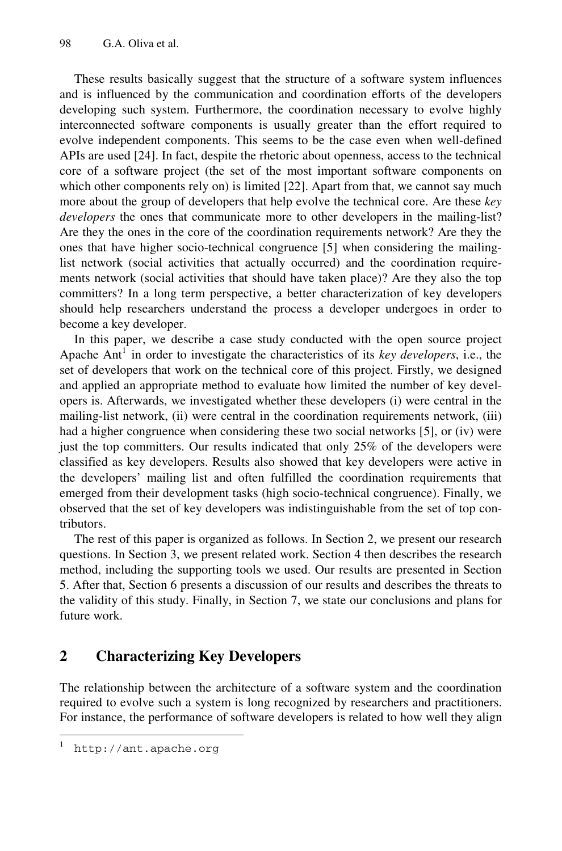These results basically suggest that the structure of a software system influences and is influenced by the communication and coordination efforts of the developers developing such system. Furthermore, the coordination necessary to evolve highly interconnected software components is usually greater than the effort required to evolve independent components. This seems to be the case even when well-defined APIs are used [24]. In fact, despite the rhetoric about openness, access to the technical core of a software project (the set of the most important software components on which other components rely on) is limited [22]. Apart from that, we cannot say much more about the group of developers that help evolve the technical core. Are these *key developers* the ones that communicate more to other developers in the mailing-list? Are they the ones in the core of the coordination requirements network? Are they the ones that have higher socio-technical congruence [5] when considering the mailinglist network (social activities that actually occurred) and the coordination requirements network (social activities that should have taken place)? Are they also the top committers? In a long term perspective, a better characterization of key developers should help researchers understand the process a developer undergoes in order to become a key developer.

In this paper, we describe a case study conducted with the open source project Apache Ant<sup>1</sup> in order to investigate the characteristics of its *key developers*, i.e., the set of developers that work on the technical core of this project. Firstly, we designed and applied an appropriate method to evaluate how limited the number of key developers is. Afterwards, we investigated whether these developers (i) were central in the mailing-list network, (ii) were central in the coordination requirements network, (iii) had a higher congruence when considering these two social networks [5], or (iv) were just the top committers. Our results indicated that only 25% of the developers were classified as key developers. Results also showed that key developers were active in the developers' mailing list and often fulfilled the coordination requirements that emerged from their development tasks (high socio-technical congruence). Finally, we observed that the set of key developers was indistinguishable from the set of top contributors.

The rest of this paper is organized as follows. In Section 2, we present our research questions. In Section 3, we present related work. Section 4 then describes the research method, including the supporting tools we used. Our results are presented in Section 5. After that, Section 6 presents a discussion of our results and describes the threats to the validity of this study. Finally, in Section 7, we state our conclusions and plans for future work.

# **2 Characterizing Key Developers**

The relationship between the architecture of a software system and the coordination required to evolve such a system is long recognized by researchers and practitioners. For instance, the performance of software developers is related to how well they align

l

<sup>1</sup> http://ant.apache.org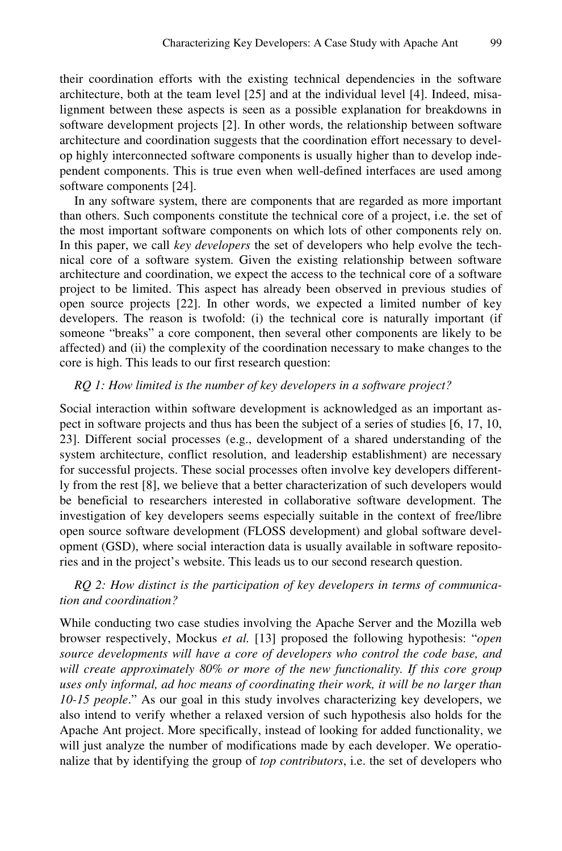their coordination efforts with the existing technical dependencies in the software architecture, both at the team level [25] and at the individual level [4]. Indeed, misalignment between these aspects is seen as a possible explanation for breakdowns in software development projects [2]. In other words, the relationship between software architecture and coordination suggests that the coordination effort necessary to develop highly interconnected software components is usually higher than to develop independent components. This is true even when well-defined interfaces are used among software components [24].

In any software system, there are components that are regarded as more important than others. Such components constitute the technical core of a project, i.e. the set of the most important software components on which lots of other components rely on. In this paper, we call *key developers* the set of developers who help evolve the technical core of a software system. Given the existing relationship between software architecture and coordination, we expect the access to the technical core of a software project to be limited. This aspect has already been observed in previous studies of open source projects [22]. In other words, we expected a limited number of key developers. The reason is twofold: (i) the technical core is naturally important (if someone "breaks" a core component, then several other components are likely to be affected) and (ii) the complexity of the coordination necessary to make changes to the core is high. This leads to our first research question:

#### *RQ 1: How limited is the number of key developers in a software project?*

Social interaction within software development is acknowledged as an important aspect in software projects and thus has been the subject of a series of studies [6, 17, 10, 23]. Different social processes (e.g., development of a shared understanding of the system architecture, conflict resolution, and leadership establishment) are necessary for successful projects. These social processes often involve key developers differently from the rest [8], we believe that a better characterization of such developers would be beneficial to researchers interested in collaborative software development. The investigation of key developers seems especially suitable in the context of free/libre open source software development (FLOSS development) and global software development (GSD), where social interaction data is usually available in software repositories and in the project's website. This leads us to our second research question.

#### *RQ 2: How distinct is the participation of key developers in terms of communication and coordination?*

While conducting two case studies involving the Apache Server and the Mozilla web browser respectively, Mockus *et al.* [13] proposed the following hypothesis: "*open source developments will have a core of developers who control the code base, and*  will create approximately 80% or more of the new functionality. If this core group *uses only informal, ad hoc means of coordinating their work, it will be no larger than 10-15 people*." As our goal in this study involves characterizing key developers, we also intend to verify whether a relaxed version of such hypothesis also holds for the Apache Ant project. More specifically, instead of looking for added functionality, we will just analyze the number of modifications made by each developer. We operationalize that by identifying the group of *top contributors*, i.e. the set of developers who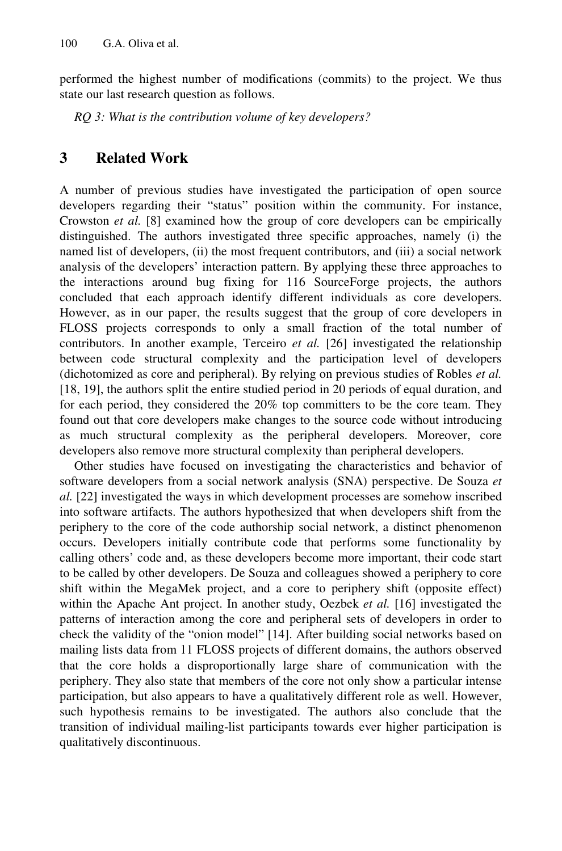performed the highest number of modifications (commits) to the project. We thus state our last research question as follows.

*RQ 3: What is the contribution volume of key developers?* 

# **3 Related Work**

A number of previous studies have investigated the participation of open source developers regarding their "status" position within the community. For instance, Crowston *et al.* [8] examined how the group of core developers can be empirically distinguished. The authors investigated three specific approaches, namely (i) the named list of developers, (ii) the most frequent contributors, and (iii) a social network analysis of the developers' interaction pattern. By applying these three approaches to the interactions around bug fixing for 116 SourceForge projects, the authors concluded that each approach identify different individuals as core developers. However, as in our paper, the results suggest that the group of core developers in FLOSS projects corresponds to only a small fraction of the total number of contributors. In another example, Terceiro *et al.* [26] investigated the relationship between code structural complexity and the participation level of developers (dichotomized as core and peripheral). By relying on previous studies of Robles *et al.* [18, 19], the authors split the entire studied period in 20 periods of equal duration, and for each period, they considered the 20% top committers to be the core team. They found out that core developers make changes to the source code without introducing as much structural complexity as the peripheral developers. Moreover, core developers also remove more structural complexity than peripheral developers.

Other studies have focused on investigating the characteristics and behavior of software developers from a social network analysis (SNA) perspective. De Souza *et al.* [22] investigated the ways in which development processes are somehow inscribed into software artifacts. The authors hypothesized that when developers shift from the periphery to the core of the code authorship social network, a distinct phenomenon occurs. Developers initially contribute code that performs some functionality by calling others' code and, as these developers become more important, their code start to be called by other developers. De Souza and colleagues showed a periphery to core shift within the MegaMek project, and a core to periphery shift (opposite effect) within the Apache Ant project. In another study, Oezbek *et al.* [16] investigated the patterns of interaction among the core and peripheral sets of developers in order to check the validity of the "onion model" [14]. After building social networks based on mailing lists data from 11 FLOSS projects of different domains, the authors observed that the core holds a disproportionally large share of communication with the periphery. They also state that members of the core not only show a particular intense participation, but also appears to have a qualitatively different role as well. However, such hypothesis remains to be investigated. The authors also conclude that the transition of individual mailing-list participants towards ever higher participation is qualitatively discontinuous.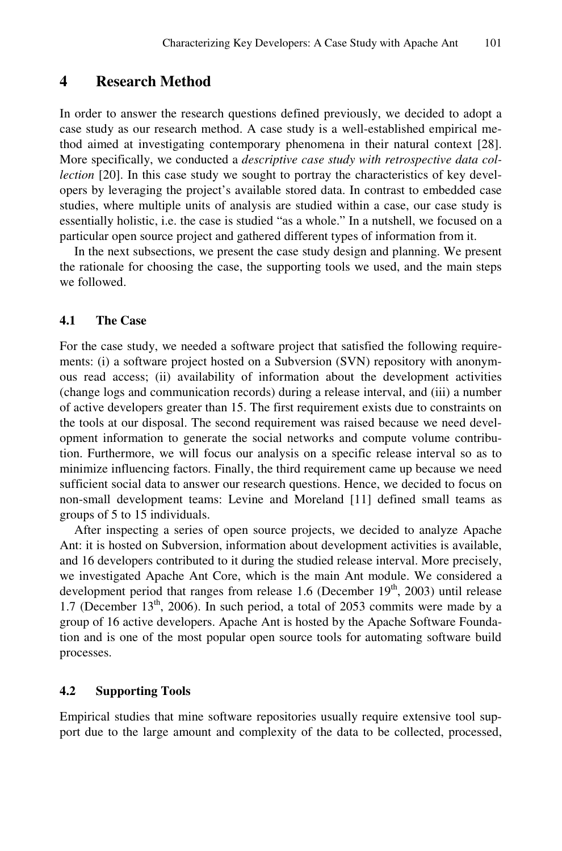### **4 Research Method**

In order to answer the research questions defined previously, we decided to adopt a case study as our research method. A case study is a well-established empirical method aimed at investigating contemporary phenomena in their natural context [28]. More specifically, we conducted a *descriptive case study with retrospective data collection* [20]. In this case study we sought to portray the characteristics of key developers by leveraging the project's available stored data. In contrast to embedded case studies, where multiple units of analysis are studied within a case, our case study is essentially holistic, i.e. the case is studied "as a whole." In a nutshell, we focused on a particular open source project and gathered different types of information from it.

In the next subsections, we present the case study design and planning. We present the rationale for choosing the case, the supporting tools we used, and the main steps we followed.

#### **4.1 The Case**

For the case study, we needed a software project that satisfied the following requirements: (i) a software project hosted on a Subversion (SVN) repository with anonymous read access; (ii) availability of information about the development activities (change logs and communication records) during a release interval, and (iii) a number of active developers greater than 15. The first requirement exists due to constraints on the tools at our disposal. The second requirement was raised because we need development information to generate the social networks and compute volume contribution. Furthermore, we will focus our analysis on a specific release interval so as to minimize influencing factors. Finally, the third requirement came up because we need sufficient social data to answer our research questions. Hence, we decided to focus on non-small development teams: Levine and Moreland [11] defined small teams as groups of 5 to 15 individuals.

After inspecting a series of open source projects, we decided to analyze Apache Ant: it is hosted on Subversion, information about development activities is available, and 16 developers contributed to it during the studied release interval. More precisely, we investigated Apache Ant Core, which is the main Ant module. We considered a development period that ranges from release 1.6 (December  $19<sup>th</sup>$ , 2003) until release 1.7 (December  $13<sup>th</sup>$ , 2006). In such period, a total of 2053 commits were made by a group of 16 active developers. Apache Ant is hosted by the Apache Software Foundation and is one of the most popular open source tools for automating software build processes.

#### **4.2 Supporting Tools**

Empirical studies that mine software repositories usually require extensive tool support due to the large amount and complexity of the data to be collected, processed,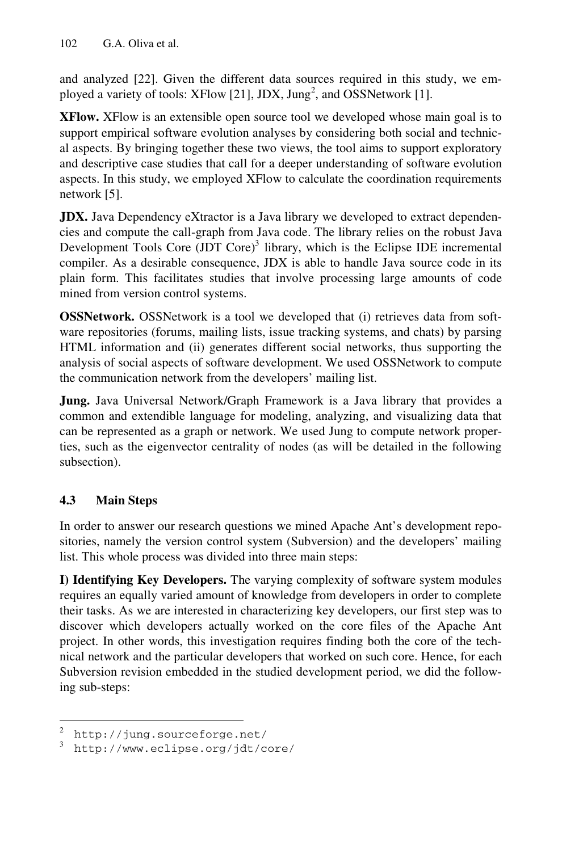and analyzed [22]. Given the different data sources required in this study, we employed a variety of tools: XFlow [21], JDX,  $\text{Jung}^2$ , and OSSNetwork [1].

**XFlow.** XFlow is an extensible open source tool we developed whose main goal is to support empirical software evolution analyses by considering both social and technical aspects. By bringing together these two views, the tool aims to support exploratory and descriptive case studies that call for a deeper understanding of software evolution aspects. In this study, we employed XFlow to calculate the coordination requirements network [5].

**JDX.** Java Dependency eXtractor is a Java library we developed to extract dependencies and compute the call-graph from Java code. The library relies on the robust Java Development Tools Core (JDT Core)<sup>3</sup> library, which is the Eclipse IDE incremental compiler. As a desirable consequence, JDX is able to handle Java source code in its plain form. This facilitates studies that involve processing large amounts of code mined from version control systems.

**OSSNetwork.** OSSNetwork is a tool we developed that (i) retrieves data from software repositories (forums, mailing lists, issue tracking systems, and chats) by parsing HTML information and (ii) generates different social networks, thus supporting the analysis of social aspects of software development. We used OSSNetwork to compute the communication network from the developers' mailing list.

**Jung.** Java Universal Network/Graph Framework is a Java library that provides a common and extendible language for modeling, analyzing, and visualizing data that can be represented as a graph or network. We used Jung to compute network properties, such as the eigenvector centrality of nodes (as will be detailed in the following subsection).

# **4.3 Main Steps**

-

In order to answer our research questions we mined Apache Ant's development repositories, namely the version control system (Subversion) and the developers' mailing list. This whole process was divided into three main steps:

**I) Identifying Key Developers.** The varying complexity of software system modules requires an equally varied amount of knowledge from developers in order to complete their tasks. As we are interested in characterizing key developers, our first step was to discover which developers actually worked on the core files of the Apache Ant project. In other words, this investigation requires finding both the core of the technical network and the particular developers that worked on such core. Hence, for each Subversion revision embedded in the studied development period, we did the following sub-steps:

<sup>2</sup> http://jung.sourceforge.net/

<sup>3</sup> http://www.eclipse.org/jdt/core/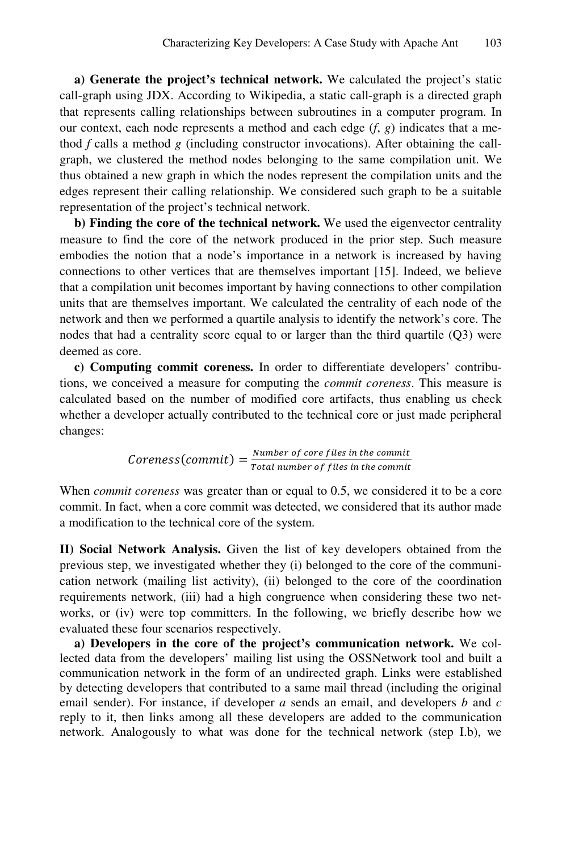**a) Generate the project's technical network.** We calculated the project's static call-graph using JDX. According to Wikipedia, a static call-graph is a directed graph that represents calling relationships between subroutines in a computer program. In our context, each node represents a method and each edge (*f*, *g*) indicates that a method *f* calls a method *g* (including constructor invocations). After obtaining the callgraph, we clustered the method nodes belonging to the same compilation unit. We thus obtained a new graph in which the nodes represent the compilation units and the edges represent their calling relationship. We considered such graph to be a suitable representation of the project's technical network.

**b) Finding the core of the technical network.** We used the eigenvector centrality measure to find the core of the network produced in the prior step. Such measure embodies the notion that a node's importance in a network is increased by having connections to other vertices that are themselves important [15]. Indeed, we believe that a compilation unit becomes important by having connections to other compilation units that are themselves important. We calculated the centrality of each node of the network and then we performed a quartile analysis to identify the network's core. The nodes that had a centrality score equal to or larger than the third quartile (Q3) were deemed as core.

**c) Computing commit coreness.** In order to differentiate developers' contributions, we conceived a measure for computing the *commit coreness*. This measure is calculated based on the number of modified core artifacts, thus enabling us check whether a developer actually contributed to the technical core or just made peripheral changes:

*Coreness*(*commit*) = 
$$
\frac{Number\ of\ core\ files\ in\ the\ commit}{Total\ number\ of\ files\ in\ the\ commit}
$$

When *commit coreness* was greater than or equal to 0.5, we considered it to be a core commit. In fact, when a core commit was detected, we considered that its author made a modification to the technical core of the system.

**II) Social Network Analysis.** Given the list of key developers obtained from the previous step, we investigated whether they (i) belonged to the core of the communication network (mailing list activity), (ii) belonged to the core of the coordination requirements network, (iii) had a high congruence when considering these two networks, or (iv) were top committers. In the following, we briefly describe how we evaluated these four scenarios respectively.

**a) Developers in the core of the project's communication network.** We collected data from the developers' mailing list using the OSSNetwork tool and built a communication network in the form of an undirected graph. Links were established by detecting developers that contributed to a same mail thread (including the original email sender). For instance, if developer *a* sends an email, and developers *b* and *c* reply to it, then links among all these developers are added to the communication network. Analogously to what was done for the technical network (step I.b), we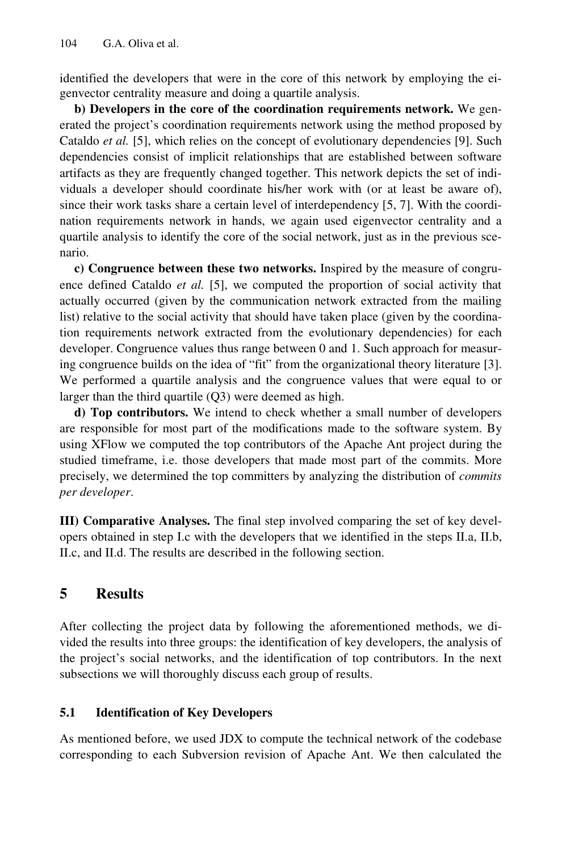identified the developers that were in the core of this network by employing the eigenvector centrality measure and doing a quartile analysis.

**b) Developers in the core of the coordination requirements network.** We generated the project's coordination requirements network using the method proposed by Cataldo *et al.* [5], which relies on the concept of evolutionary dependencies [9]. Such dependencies consist of implicit relationships that are established between software artifacts as they are frequently changed together. This network depicts the set of individuals a developer should coordinate his/her work with (or at least be aware of), since their work tasks share a certain level of interdependency [5, 7]. With the coordination requirements network in hands, we again used eigenvector centrality and a quartile analysis to identify the core of the social network, just as in the previous scenario.

**c) Congruence between these two networks.** Inspired by the measure of congruence defined Cataldo *et al.* [5], we computed the proportion of social activity that actually occurred (given by the communication network extracted from the mailing list) relative to the social activity that should have taken place (given by the coordination requirements network extracted from the evolutionary dependencies) for each developer. Congruence values thus range between 0 and 1. Such approach for measuring congruence builds on the idea of "fit" from the organizational theory literature [3]. We performed a quartile analysis and the congruence values that were equal to or larger than the third quartile (Q3) were deemed as high.

**d) Top contributors.** We intend to check whether a small number of developers are responsible for most part of the modifications made to the software system. By using XFlow we computed the top contributors of the Apache Ant project during the studied timeframe, i.e. those developers that made most part of the commits. More precisely, we determined the top committers by analyzing the distribution of *commits per developer*.

**III) Comparative Analyses.** The final step involved comparing the set of key developers obtained in step I.c with the developers that we identified in the steps II.a, II.b, II.c, and II.d. The results are described in the following section.

# **5 Results**

After collecting the project data by following the aforementioned methods, we divided the results into three groups: the identification of key developers, the analysis of the project's social networks, and the identification of top contributors. In the next subsections we will thoroughly discuss each group of results.

### **5.1 Identification of Key Developers**

As mentioned before, we used JDX to compute the technical network of the codebase corresponding to each Subversion revision of Apache Ant. We then calculated the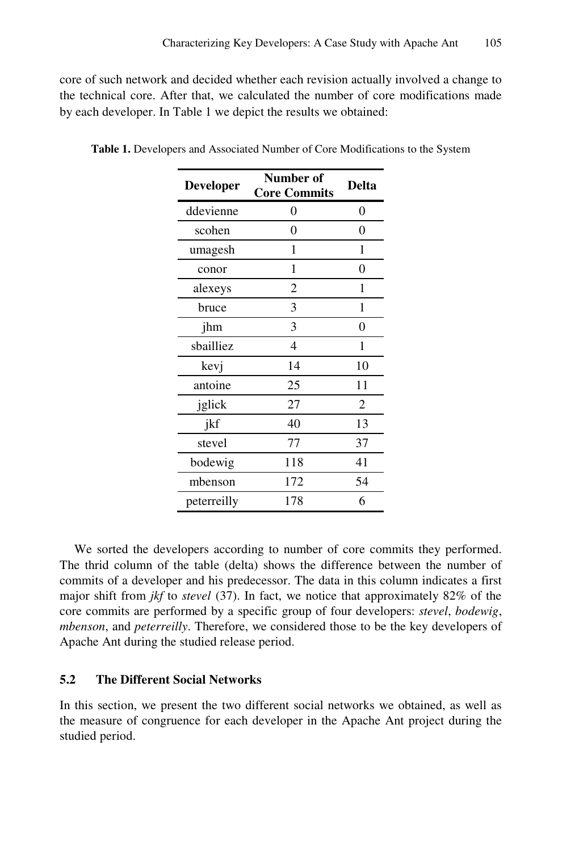core of such network and decided whether each revision actually involved a change to the technical core. After that, we calculated the number of core modifications made by each developer. In Table 1 we depict the results we obtained:

| <b>Developer</b> | Number of<br><b>Core Commits</b> | <b>Delta</b>   |
|------------------|----------------------------------|----------------|
| ddevienne        | 0                                | 0              |
| scohen           | 0                                | 0              |
| umagesh          | 1                                | 1              |
| conor            | 1                                | 0              |
| alexeys          | 2                                | 1              |
| bruce            | 3                                | 1              |
| jhm              | 3                                | 0              |
| sbailliez        | 4                                | 1              |
| kevj             | 14                               | 10             |
| antoine          | 25                               | 11             |
| jglick           | 27                               | $\mathfrak{D}$ |
| jkf              | 40                               | 13             |
| stevel           | 77                               | 37             |
| bodewig          | 118                              | 41             |
| mbenson          | 172                              | 54             |
| peterreilly      | 178                              | 6              |

**Table 1.** Developers and Associated Number of Core Modifications to the System

We sorted the developers according to number of core commits they performed. The thrid column of the table (delta) shows the difference between the number of commits of a developer and his predecessor. The data in this column indicates a first major shift from *jkf* to *stevel* (37). In fact, we notice that approximately 82% of the core commits are performed by a specific group of four developers: *stevel*, *bodewig*, *mbenson*, and *peterreilly*. Therefore, we considered those to be the key developers of Apache Ant during the studied release period.

#### **5.2 The Different Social Networks**

In this section, we present the two different social networks we obtained, as well as the measure of congruence for each developer in the Apache Ant project during the studied period.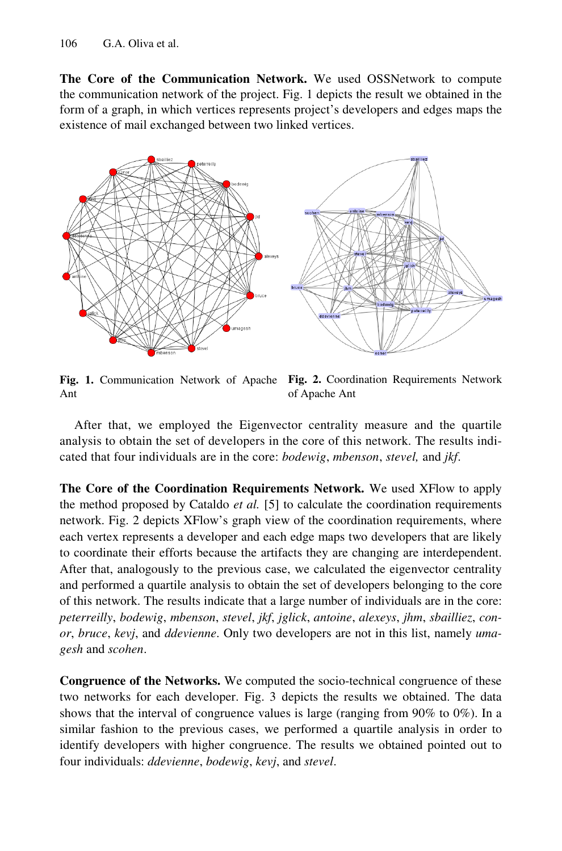**The Core of the Communication Network.** We used OSSNetwork to compute the communication network of the project. Fig. 1 depicts the result we obtained in the form of a graph, in which vertices represents project's developers and edges maps the existence of mail exchanged between two linked vertices.



**Fig. 1.** Communication Network of Apache **Fig. 2.** Coordination Requirements Network Ant

of Apache Ant

After that, we employed the Eigenvector centrality measure and the quartile analysis to obtain the set of developers in the core of this network. The results indicated that four individuals are in the core: *bodewig*, *mbenson*, *stevel,* and *jkf*.

**The Core of the Coordination Requirements Network.** We used XFlow to apply the method proposed by Cataldo *et al.* [5] to calculate the coordination requirements network. Fig. 2 depicts XFlow's graph view of the coordination requirements, where each vertex represents a developer and each edge maps two developers that are likely to coordinate their efforts because the artifacts they are changing are interdependent. After that, analogously to the previous case, we calculated the eigenvector centrality and performed a quartile analysis to obtain the set of developers belonging to the core of this network. The results indicate that a large number of individuals are in the core: *peterreilly*, *bodewig*, *mbenson*, *stevel*, *jkf*, *jglick*, *antoine*, *alexeys*, *jhm*, *sbailliez*, *conor*, *bruce*, *kevj*, and *ddevienne*. Only two developers are not in this list, namely *umagesh* and *scohen*.

**Congruence of the Networks.** We computed the socio-technical congruence of these two networks for each developer. Fig. 3 depicts the results we obtained. The data shows that the interval of congruence values is large (ranging from 90% to 0%). In a similar fashion to the previous cases, we performed a quartile analysis in order to identify developers with higher congruence. The results we obtained pointed out to four individuals: *ddevienne*, *bodewig*, *kevj*, and *stevel*.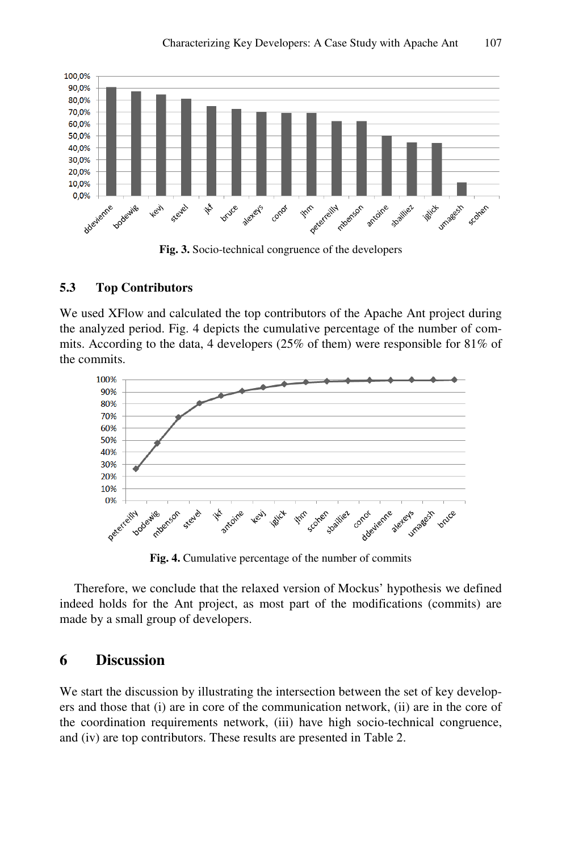

**Fig. 3.** Socio-technical congruence of the developers

#### **5.3 Top Contributors**

We used XFlow and calculated the top contributors of the Apache Ant project during the analyzed period. Fig. 4 depicts the cumulative percentage of the number of commits. According to the data, 4 developers (25% of them) were responsible for 81% of the commits.



**Fig. 4.** Cumulative percentage of the number of commits

Therefore, we conclude that the relaxed version of Mockus' hypothesis we defined indeed holds for the Ant project, as most part of the modifications (commits) are made by a small group of developers.

### **6 Discussion**

We start the discussion by illustrating the intersection between the set of key developers and those that (i) are in core of the communication network, (ii) are in the core of the coordination requirements network, (iii) have high socio-technical congruence, and (iv) are top contributors. These results are presented in Table 2.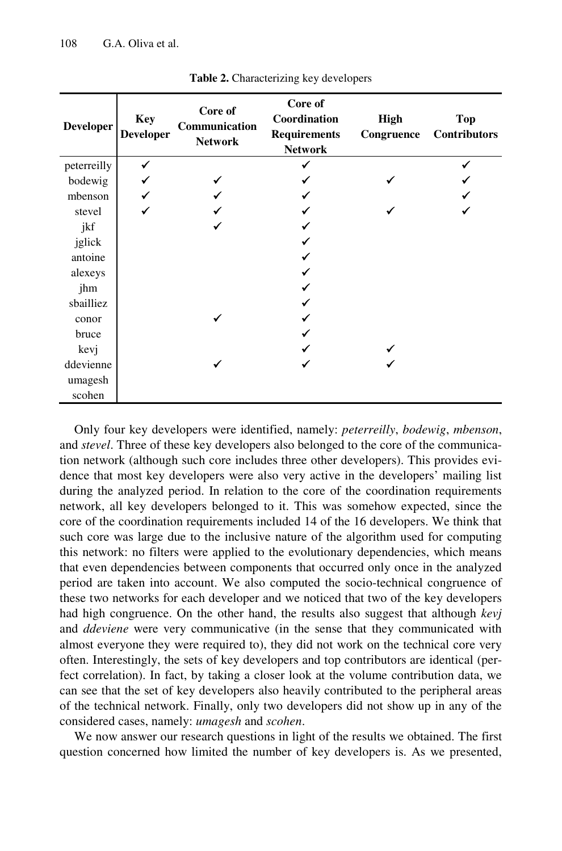| <b>Developer</b> | <b>Key</b><br><b>Developer</b> | Core of<br>Communication<br><b>Network</b> | Core of<br>Coordination<br><b>Requirements</b><br><b>Network</b> | <b>High</b><br>Congruence | Top<br><b>Contributors</b> |
|------------------|--------------------------------|--------------------------------------------|------------------------------------------------------------------|---------------------------|----------------------------|
| peterreilly      | ✓                              |                                            |                                                                  |                           |                            |
| bodewig          |                                |                                            |                                                                  |                           |                            |
| mbenson          |                                |                                            |                                                                  |                           |                            |
| stevel           |                                |                                            |                                                                  |                           |                            |
| jkf              |                                |                                            |                                                                  |                           |                            |
| jglick           |                                |                                            |                                                                  |                           |                            |
| antoine          |                                |                                            |                                                                  |                           |                            |
| alexeys          |                                |                                            |                                                                  |                           |                            |
| jhm              |                                |                                            |                                                                  |                           |                            |
| sbailliez        |                                |                                            |                                                                  |                           |                            |
| conor            |                                |                                            |                                                                  |                           |                            |
| bruce            |                                |                                            |                                                                  |                           |                            |
| kevj             |                                |                                            |                                                                  |                           |                            |
| ddevienne        |                                |                                            |                                                                  |                           |                            |
| umagesh          |                                |                                            |                                                                  |                           |                            |
| scohen           |                                |                                            |                                                                  |                           |                            |

**Table 2.** Characterizing key developers

Only four key developers were identified, namely: *peterreilly*, *bodewig*, *mbenson*, and *stevel*. Three of these key developers also belonged to the core of the communication network (although such core includes three other developers). This provides evidence that most key developers were also very active in the developers' mailing list during the analyzed period. In relation to the core of the coordination requirements network, all key developers belonged to it. This was somehow expected, since the core of the coordination requirements included 14 of the 16 developers. We think that such core was large due to the inclusive nature of the algorithm used for computing this network: no filters were applied to the evolutionary dependencies, which means that even dependencies between components that occurred only once in the analyzed period are taken into account. We also computed the socio-technical congruence of these two networks for each developer and we noticed that two of the key developers had high congruence. On the other hand, the results also suggest that although *kevj* and *ddeviene* were very communicative (in the sense that they communicated with almost everyone they were required to), they did not work on the technical core very often. Interestingly, the sets of key developers and top contributors are identical (perfect correlation). In fact, by taking a closer look at the volume contribution data, we can see that the set of key developers also heavily contributed to the peripheral areas of the technical network. Finally, only two developers did not show up in any of the considered cases, namely: *umagesh* and *scohen*.

We now answer our research questions in light of the results we obtained. The first question concerned how limited the number of key developers is. As we presented,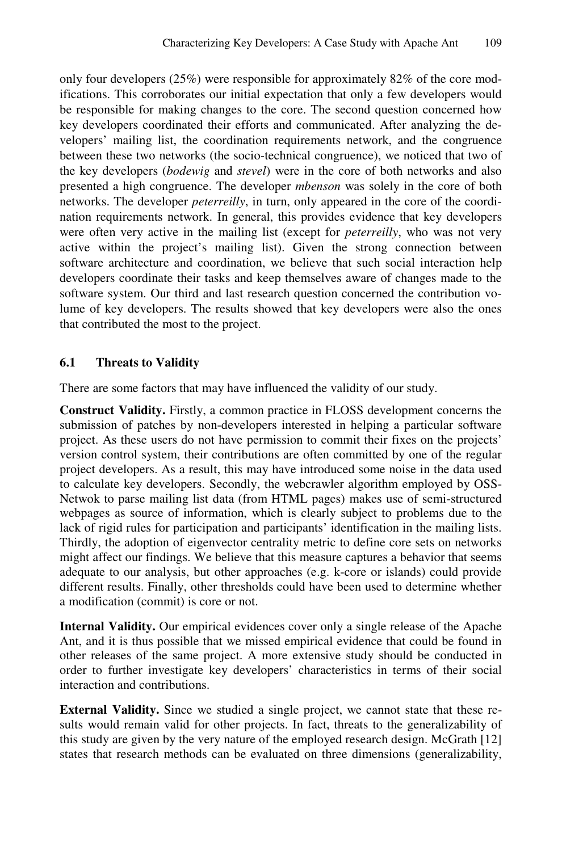only four developers (25%) were responsible for approximately 82% of the core modifications. This corroborates our initial expectation that only a few developers would be responsible for making changes to the core. The second question concerned how key developers coordinated their efforts and communicated. After analyzing the developers' mailing list, the coordination requirements network, and the congruence between these two networks (the socio-technical congruence), we noticed that two of the key developers (*bodewig* and *stevel*) were in the core of both networks and also presented a high congruence. The developer *mbenson* was solely in the core of both networks. The developer *peterreilly*, in turn, only appeared in the core of the coordination requirements network. In general, this provides evidence that key developers were often very active in the mailing list (except for *peterreilly*, who was not very active within the project's mailing list). Given the strong connection between software architecture and coordination, we believe that such social interaction help developers coordinate their tasks and keep themselves aware of changes made to the software system. Our third and last research question concerned the contribution volume of key developers. The results showed that key developers were also the ones that contributed the most to the project.

#### **6.1 Threats to Validity**

There are some factors that may have influenced the validity of our study.

**Construct Validity.** Firstly, a common practice in FLOSS development concerns the submission of patches by non-developers interested in helping a particular software project. As these users do not have permission to commit their fixes on the projects' version control system, their contributions are often committed by one of the regular project developers. As a result, this may have introduced some noise in the data used to calculate key developers. Secondly, the webcrawler algorithm employed by OSS-Netwok to parse mailing list data (from HTML pages) makes use of semi-structured webpages as source of information, which is clearly subject to problems due to the lack of rigid rules for participation and participants' identification in the mailing lists. Thirdly, the adoption of eigenvector centrality metric to define core sets on networks might affect our findings. We believe that this measure captures a behavior that seems adequate to our analysis, but other approaches (e.g. k-core or islands) could provide different results. Finally, other thresholds could have been used to determine whether a modification (commit) is core or not.

**Internal Validity.** Our empirical evidences cover only a single release of the Apache Ant, and it is thus possible that we missed empirical evidence that could be found in other releases of the same project. A more extensive study should be conducted in order to further investigate key developers' characteristics in terms of their social interaction and contributions.

**External Validity.** Since we studied a single project, we cannot state that these results would remain valid for other projects. In fact, threats to the generalizability of this study are given by the very nature of the employed research design. McGrath [12] states that research methods can be evaluated on three dimensions (generalizability,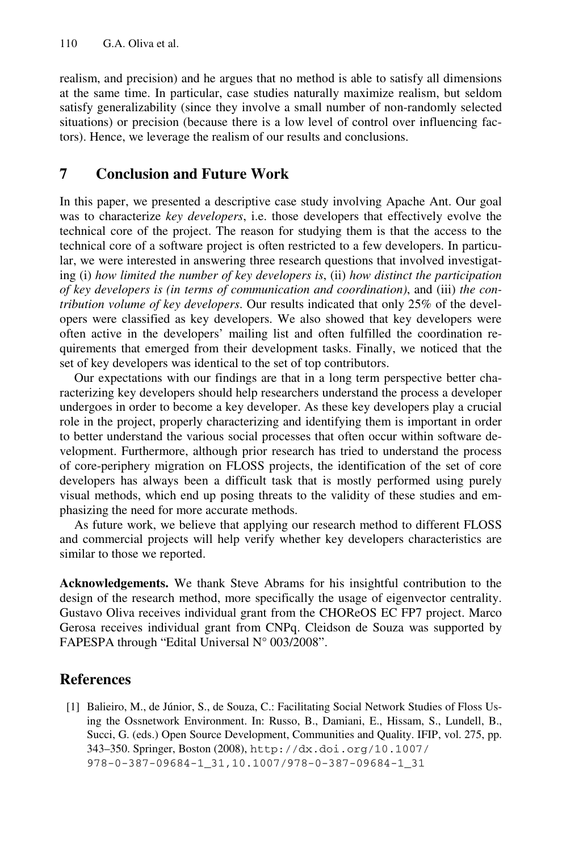realism, and precision) and he argues that no method is able to satisfy all dimensions at the same time. In particular, case studies naturally maximize realism, but seldom satisfy generalizability (since they involve a small number of non-randomly selected situations) or precision (because there is a low level of control over influencing factors). Hence, we leverage the realism of our results and conclusions.

### **7 Conclusion and Future Work**

In this paper, we presented a descriptive case study involving Apache Ant. Our goal was to characterize *key developers*, i.e. those developers that effectively evolve the technical core of the project. The reason for studying them is that the access to the technical core of a software project is often restricted to a few developers. In particular, we were interested in answering three research questions that involved investigating (i) *how limited the number of key developers is*, (ii) *how distinct the participation of key developers is (in terms of communication and coordination)*, and (iii) *the contribution volume of key developers*. Our results indicated that only 25% of the developers were classified as key developers. We also showed that key developers were often active in the developers' mailing list and often fulfilled the coordination requirements that emerged from their development tasks. Finally, we noticed that the set of key developers was identical to the set of top contributors.

Our expectations with our findings are that in a long term perspective better characterizing key developers should help researchers understand the process a developer undergoes in order to become a key developer. As these key developers play a crucial role in the project, properly characterizing and identifying them is important in order to better understand the various social processes that often occur within software development. Furthermore, although prior research has tried to understand the process of core-periphery migration on FLOSS projects, the identification of the set of core developers has always been a difficult task that is mostly performed using purely visual methods, which end up posing threats to the validity of these studies and emphasizing the need for more accurate methods.

As future work, we believe that applying our research method to different FLOSS and commercial projects will help verify whether key developers characteristics are similar to those we reported.

**Acknowledgements.** We thank Steve Abrams for his insightful contribution to the design of the research method, more specifically the usage of eigenvector centrality. Gustavo Oliva receives individual grant from the CHOReOS EC FP7 project. Marco Gerosa receives individual grant from CNPq. Cleidson de Souza was supported by FAPESPA through "Edital Universal N° 003/2008".

# **References**

[1] Balieiro, M., de Júnior, S., de Souza, C.: Facilitating Social Network Studies of Floss Using the Ossnetwork Environment. In: Russo, B., Damiani, E., Hissam, S., Lundell, B., Succi, G. (eds.) Open Source Development, Communities and Quality. IFIP, vol. 275, pp. 343–350. Springer, Boston (2008), http://dx.doi.org/10.1007/ 978-0-387-09684-1\_31,10.1007/978-0-387-09684-1\_31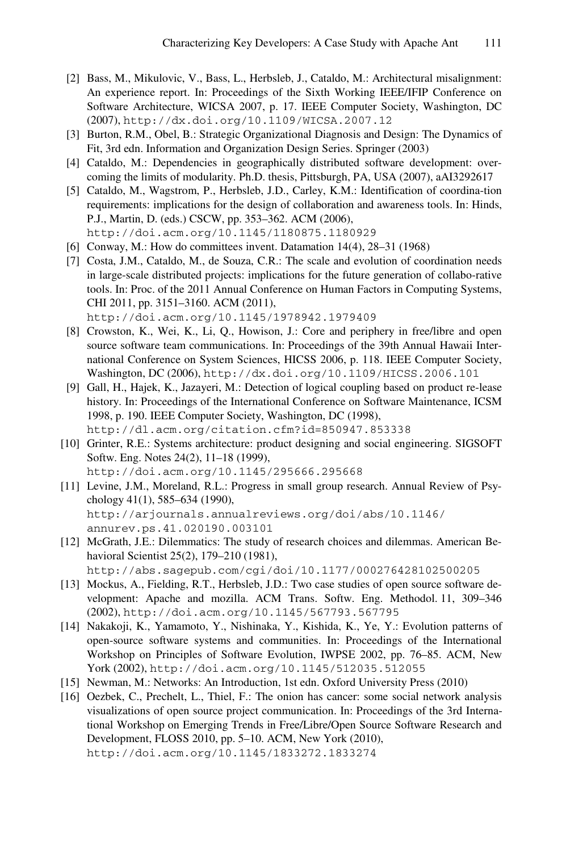- [2] Bass, M., Mikulovic, V., Bass, L., Herbsleb, J., Cataldo, M.: Architectural misalignment: An experience report. In: Proceedings of the Sixth Working IEEE/IFIP Conference on Software Architecture, WICSA 2007, p. 17. IEEE Computer Society, Washington, DC (2007), http://dx.doi.org/10.1109/WICSA.2007.12
- [3] Burton, R.M., Obel, B.: Strategic Organizational Diagnosis and Design: The Dynamics of Fit, 3rd edn. Information and Organization Design Series. Springer (2003)
- [4] Cataldo, M.: Dependencies in geographically distributed software development: overcoming the limits of modularity. Ph.D. thesis, Pittsburgh, PA, USA (2007), aAI3292617
- [5] Cataldo, M., Wagstrom, P., Herbsleb, J.D., Carley, K.M.: Identification of coordina-tion requirements: implications for the design of collaboration and awareness tools. In: Hinds, P.J., Martin, D. (eds.) CSCW, pp. 353–362. ACM (2006), http://doi.acm.org/10.1145/1180875.1180929
- [6] Conway, M.: How do committees invent. Datamation 14(4), 28–31 (1968)
- [7] Costa, J.M., Cataldo, M., de Souza, C.R.: The scale and evolution of coordination needs in large-scale distributed projects: implications for the future generation of collabo-rative tools. In: Proc. of the 2011 Annual Conference on Human Factors in Computing Systems, CHI 2011, pp. 3151–3160. ACM (2011), http://doi.acm.org/10.1145/1978942.1979409
- [8] Crowston, K., Wei, K., Li, Q., Howison, J.: Core and periphery in free/libre and open source software team communications. In: Proceedings of the 39th Annual Hawaii International Conference on System Sciences, HICSS 2006, p. 118. IEEE Computer Society, Washington, DC (2006), http://dx.doi.org/10.1109/HICSS.2006.101
- [9] Gall, H., Hajek, K., Jazayeri, M.: Detection of logical coupling based on product re-lease history. In: Proceedings of the International Conference on Software Maintenance, ICSM 1998, p. 190. IEEE Computer Society, Washington, DC (1998), http://dl.acm.org/citation.cfm?id=850947.853338
- [10] Grinter, R.E.: Systems architecture: product designing and social engineering. SIGSOFT Softw. Eng. Notes 24(2), 11–18 (1999), http://doi.acm.org/10.1145/295666.295668
- [11] Levine, J.M., Moreland, R.L.: Progress in small group research. Annual Review of Psychology 41(1), 585–634 (1990), http://arjournals.annualreviews.org/doi/abs/10.1146/ annurev.ps.41.020190.003101
- [12] McGrath, J.E.: Dilemmatics: The study of research choices and dilemmas. American Behavioral Scientist 25(2), 179–210 (1981), http://abs.sagepub.com/cgi/doi/10.1177/000276428102500205
- [13] Mockus, A., Fielding, R.T., Herbsleb, J.D.: Two case studies of open source software development: Apache and mozilla. ACM Trans. Softw. Eng. Methodol. 11, 309–346 (2002), http://doi.acm.org/10.1145/567793.567795
- [14] Nakakoji, K., Yamamoto, Y., Nishinaka, Y., Kishida, K., Ye, Y.: Evolution patterns of open-source software systems and communities. In: Proceedings of the International Workshop on Principles of Software Evolution, IWPSE 2002, pp. 76–85. ACM, New York (2002), http://doi.acm.org/10.1145/512035.512055
- [15] Newman, M.: Networks: An Introduction, 1st edn. Oxford University Press (2010)
- [16] Oezbek, C., Prechelt, L., Thiel, F.: The onion has cancer: some social network analysis visualizations of open source project communication. In: Proceedings of the 3rd International Workshop on Emerging Trends in Free/Libre/Open Source Software Research and Development, FLOSS 2010, pp. 5–10. ACM, New York (2010), http://doi.acm.org/10.1145/1833272.1833274